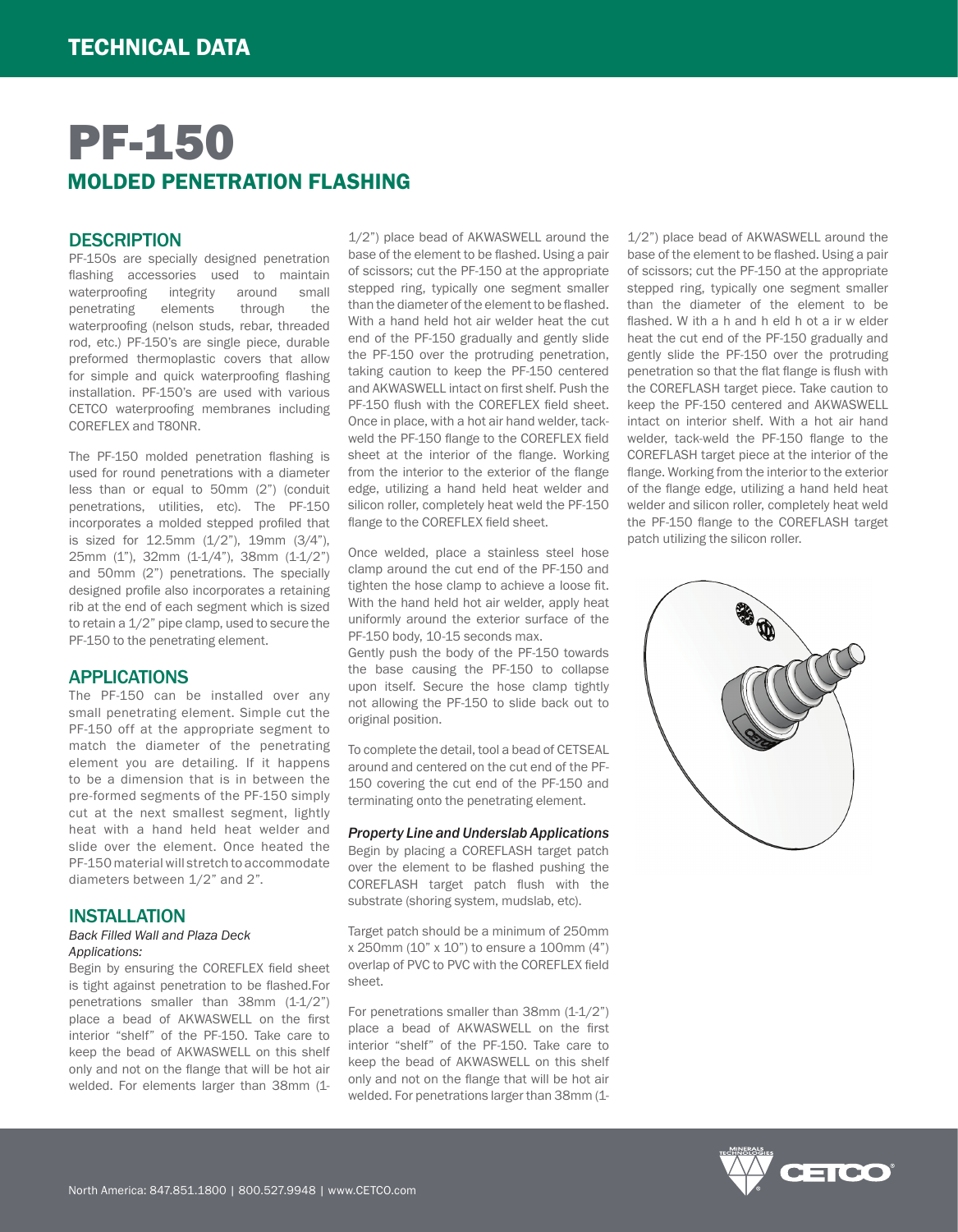# PF-150 MOLDED PENETRATION FLASHING

# **DESCRIPTION**

PF-150s are specially designed penetration flashing accessories used to maintain waterproofing integrity around small penetrating elements through the waterproofing (nelson studs, rebar, threaded rod, etc.) PF-150's are single piece, durable preformed thermoplastic covers that allow for simple and quick waterproofing flashing installation. PF-150's are used with various CETCO waterproofing membranes including COREFLEX and T80NR.

The PF-150 molded penetration flashing is used for round penetrations with a diameter less than or equal to 50mm (2") (conduit penetrations, utilities, etc). The PF-150 incorporates a molded stepped profiled that is sized for 12.5mm (1/2"), 19mm (3/4"), 25mm (1"), 32mm (1-1/4"), 38mm (1-1/2") and 50mm (2") penetrations. The specially designed profile also incorporates a retaining rib at the end of each segment which is sized to retain a 1/2" pipe clamp, used to secure the PF-150 to the penetrating element.

# APPLICATIONS

The PF-150 can be installed over any small penetrating element. Simple cut the PF-150 off at the appropriate segment to match the diameter of the penetrating element you are detailing. If it happens to be a dimension that is in between the pre-formed segments of the PF-150 simply cut at the next smallest segment, lightly heat with a hand held heat welder and slide over the element. Once heated the PF-150 material will stretch to accommodate diameters between 1/2" and 2".

#### INSTALLATION

#### *Back Filled Wall and Plaza Deck Applications:*

Begin by ensuring the COREFLEX field sheet is tight against penetration to be flashed.For penetrations smaller than 38mm (1-1/2") place a bead of AKWASWELL on the first interior "shelf" of the PF-150. Take care to keep the bead of AKWASWELL on this shelf only and not on the flange that will be hot air welded. For elements larger than 38mm (11/2") place bead of AKWASWELL around the base of the element to be flashed. Using a pair of scissors; cut the PF-150 at the appropriate stepped ring, typically one segment smaller than the diameter of the element to be flashed. With a hand held hot air welder heat the cut end of the PF-150 gradually and gently slide the PF-150 over the protruding penetration, taking caution to keep the PF-150 centered and AKWASWELL intact on first shelf. Push the PF-150 flush with the COREFLEX field sheet. Once in place, with a hot air hand welder, tackweld the PF-150 flange to the COREFLEX field sheet at the interior of the flange. Working from the interior to the exterior of the flange edge, utilizing a hand held heat welder and silicon roller, completely heat weld the PF-150 flange to the COREFLEX field sheet.

Once welded, place a stainless steel hose clamp around the cut end of the PF-150 and tighten the hose clamp to achieve a loose fit. With the hand held hot air welder, apply heat uniformly around the exterior surface of the PF-150 body, 10-15 seconds max.

Gently push the body of the PF-150 towards the base causing the PF-150 to collapse upon itself. Secure the hose clamp tightly not allowing the PF-150 to slide back out to original position.

To complete the detail, tool a bead of CETSEAL around and centered on the cut end of the PF-150 covering the cut end of the PF-150 and terminating onto the penetrating element.

#### *Property Line and Underslab Applications*

Begin by placing a COREFLASH target patch over the element to be flashed pushing the COREFLASH target patch flush with the substrate (shoring system, mudslab, etc).

Target patch should be a minimum of 250mm x 250mm (10" x 10") to ensure a 100mm (4") overlap of PVC to PVC with the COREFLEX field sheet.

For penetrations smaller than 38mm (1-1/2") place a bead of AKWASWELL on the first interior "shelf" of the PF-150. Take care to keep the bead of AKWASWELL on this shelf only and not on the flange that will be hot air welded. For penetrations larger than 38mm (11/2") place bead of AKWASWELL around the base of the element to be flashed. Using a pair of scissors; cut the PF-150 at the appropriate stepped ring, typically one segment smaller than the diameter of the element to be flashed. W ith a h and h eld h ot a ir w elder heat the cut end of the PF-150 gradually and gently slide the PF-150 over the protruding penetration so that the flat flange is flush with the COREFLASH target piece. Take caution to keep the PF-150 centered and AKWASWELL intact on interior shelf. With a hot air hand welder, tack-weld the PF-150 flange to the COREFLASH target piece at the interior of the flange. Working from the interior to the exterior of the flange edge, utilizing a hand held heat welder and silicon roller, completely heat weld the PF-150 flange to the COREFLASH target patch utilizing the silicon roller.